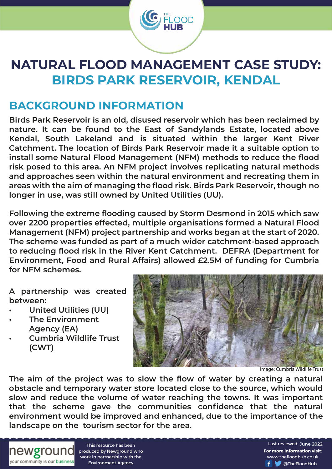

# **NATURAL FLOOD MANAGEMENT CASE STUDY: BIRDS PARK RESERVOIR, KENDAL**

### **BACKGROUND INFORMATION**

**Birds Park Reservoir is an old, disused reservoir which has been reclaimed by nature. It can be found to the East of Sandylands Estate, located above Kendal, South Lakeland and is situated within the larger Kent River Catchment. The location of Birds Park Reservoir made it a suitable option to install some Natural Flood Management (NFM) methods to reduce the flood risk posed to this area. An NFM project involves replicating natural methods and approaches seen within the natural environment and recreating them in areas with the aim of managing the flood risk. Birds Park Reservoir, though no longer in use, was still owned by United Utilities (UU).** 

**Following the extreme flooding caused by Storm Desmond in 2015 which saw over 2200 properties effected, multiple organisations formed a Natural Flood Management (NFM) project partnership and works began at the start of 2020. The scheme was funded as part of a much wider catchment-based approach to reducing flood risk in the River Kent Catchment. DEFRA (Department for Environment, Food and Rural Affairs) allowed £2.5M of funding for Cumbria for NFM schemes.** 

**A partnership was created between:**

- **United Utilities (UU)**
- **The Environment Agency (EA)**
- **Cumbria Wildlife Trust (CWT)**



Image: Cumbria Wildlife Trust

**The aim of the project was to slow the flow of water by creating a natural obstacle and temporary water store located close to the source, which would slow and reduce the volume of water reaching the towns. It was important that the scheme gave the communities confidence that the natural environment would be improved and enhanced, due to the importance of the landscape on the tourism sector for the area.**



This resource has been produced by Newground who work in partnership with the Environment Agency

**For more information visit:** www.thefloodhub.co.uk f **T** @TheFloodHub Last reviewed: June 2022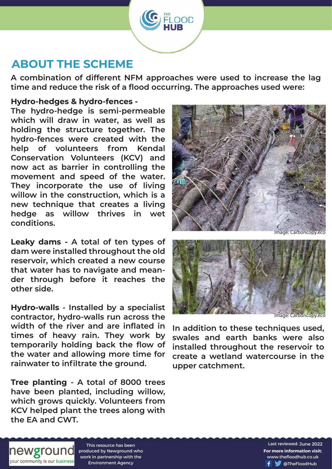### **ABOUT THE SCHEME**

**A combination of different NFM approaches were used to increase the lag time and reduce the risk of a flood occurring. The approaches used were:**

 $\overline{OOD}$ 

#### **Hydro-hedges & hydro-fences -**

**The hydro-hedge is semi-permeable which will draw in water, as well as holding the structure together. The hydro-fences were created with the help of volunteers from Kendal Conservation Volunteers (KCV) and now act as barrier in controlling the movement and speed of the water. They incorporate the use of living willow in the construction, which is a new technique that creates a living hedge as willow thrives in wet conditions.**

**Leaky dams - A total of ten types of dam were installed throughout the old reservoir, which created a new course that water has to navigate and meander through before it reaches the other side.**

**Hydro-walls - Installed by a specialist contractor, hydro-walls run across the width of the river and are inflated in times of heavy rain. They work by temporarily holding back the flow of the water and allowing more time for rainwater to infiltrate the ground.** 

**Tree planting - A total of 8000 trees have been planted, including willow, which grows quickly. Volunteers from KCV helped plant the trees along with the EA and CWT.**





Image: Carboncopy.eco

**In addition to these techniques used, swales and earth banks were also installed throughout the reservoir to create a wetland watercourse in the upper catchment.**



This resource has been produced by Newground who work in partnership with the Environment Agency

**For more information visit:** www.thefloodhub.co.uk f **T** @TheFloodHub Last reviewed: June 2022